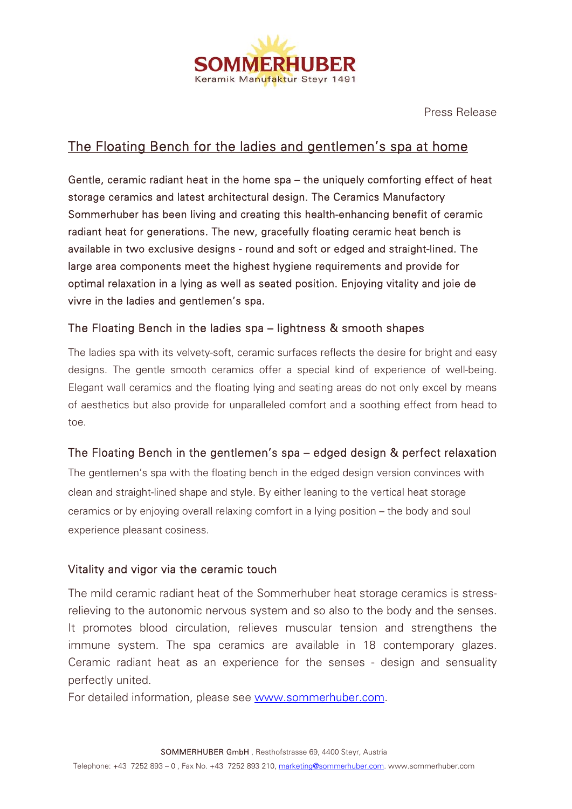

Press Release

## The Floating Bench for the ladies and gentlemen's spa at home

Gentle, ceramic radiant heat in the home spa – the uniquely comforting effect of heat storage ceramics and latest architectural design. The Ceramics Manufactory Sommerhuber has been living and creating this health-enhancing benefit of ceramic radiant heat for generations. The new, gracefully floating ceramic heat bench is available in two exclusive designs - round and soft or edged and straight-lined. The large area components meet the highest hygiene requirements and provide for optimal relaxation in a lying as well as seated position. Enjoying vitality and joie de vivre in the ladies and gentlemen's spa.

## The Floating Bench in the ladies spa – lightness & smooth shapes

The ladies spa with its velvety-soft, ceramic surfaces reflects the desire for bright and easy designs. The gentle smooth ceramics offer a special kind of experience of well-being. Elegant wall ceramics and the floating lying and seating areas do not only excel by means of aesthetics but also provide for unparalleled comfort and a soothing effect from head to toe.

## The Floating Bench in the gentlemen's spa – edged design & perfect relaxation

The gentlemen's spa with the floating bench in the edged design version convinces with clean and straight-lined shape and style. By either leaning to the vertical heat storage ceramics or by enjoying overall relaxing comfort in a lying position – the body and soul experience pleasant cosiness.

## Vitality and vigor via the ceramic touch

The mild ceramic radiant heat of the Sommerhuber heat storage ceramics is stressrelieving to the autonomic nervous system and so also to the body and the senses. It promotes blood circulation, relieves muscular tension and strengthens the immune system. The spa ceramics are available in 18 contemporary glazes. Ceramic radiant heat as an experience for the senses - design and sensuality perfectly united.

For detailed information, please see www.sommerhuber.com.